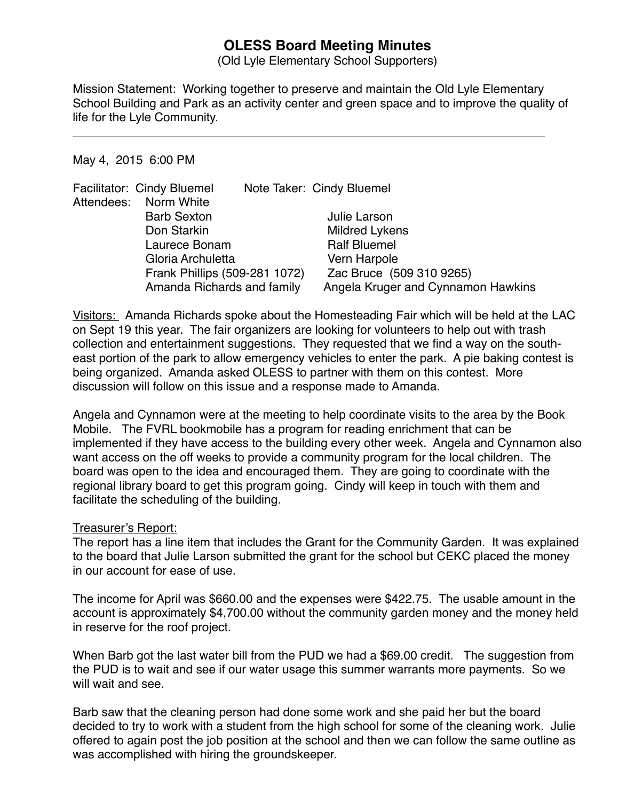# **OLESS Board Meeting Minutes**

(Old Lyle Elementary School Supporters)

Mission Statement: Working together to preserve and maintain the Old Lyle Elementary School Building and Park as an activity center and green space and to improve the quality of life for the Lyle Community.

\_\_\_\_\_\_\_\_\_\_\_\_\_\_\_\_\_\_\_\_\_\_\_\_\_\_\_\_\_\_\_\_\_\_\_\_\_\_\_\_\_\_\_\_\_\_\_\_\_\_\_\_\_\_\_\_\_\_\_\_\_\_\_\_\_\_\_\_\_\_

#### May 4, 2015 6:00 PM

|  | Facilitator: Cindy Bluemel    |  | Note Taker: Cindy Bluemel          |
|--|-------------------------------|--|------------------------------------|
|  | Attendees: Norm White         |  |                                    |
|  | <b>Barb Sexton</b>            |  | Julie Larson                       |
|  | Don Starkin                   |  | <b>Mildred Lykens</b>              |
|  | Laurece Bonam                 |  | <b>Ralf Bluemel</b>                |
|  | Gloria Archuletta             |  | Vern Harpole                       |
|  | Frank Phillips (509-281 1072) |  | Zac Bruce (509 310 9265)           |
|  | Amanda Richards and family    |  | Angela Kruger and Cynnamon Hawkins |

Visitors: Amanda Richards spoke about the Homesteading Fair which will be held at the LAC on Sept 19 this year. The fair organizers are looking for volunteers to help out with trash collection and entertainment suggestions. They requested that we find a way on the southeast portion of the park to allow emergency vehicles to enter the park. A pie baking contest is being organized. Amanda asked OLESS to partner with them on this contest. More discussion will follow on this issue and a response made to Amanda.

Angela and Cynnamon were at the meeting to help coordinate visits to the area by the Book Mobile. The FVRL bookmobile has a program for reading enrichment that can be implemented if they have access to the building every other week. Angela and Cynnamon also want access on the off weeks to provide a community program for the local children. The board was open to the idea and encouraged them. They are going to coordinate with the regional library board to get this program going. Cindy will keep in touch with them and facilitate the scheduling of the building.

## Treasurer's Report:

The report has a line item that includes the Grant for the Community Garden. It was explained to the board that Julie Larson submitted the grant for the school but CEKC placed the money in our account for ease of use.

The income for April was \$660.00 and the expenses were \$422.75. The usable amount in the account is approximately \$4,700.00 without the community garden money and the money held in reserve for the roof project.

When Barb got the last water bill from the PUD we had a \$69.00 credit. The suggestion from the PUD is to wait and see if our water usage this summer warrants more payments. So we will wait and see.

Barb saw that the cleaning person had done some work and she paid her but the board decided to try to work with a student from the high school for some of the cleaning work. Julie offered to again post the job position at the school and then we can follow the same outline as was accomplished with hiring the groundskeeper.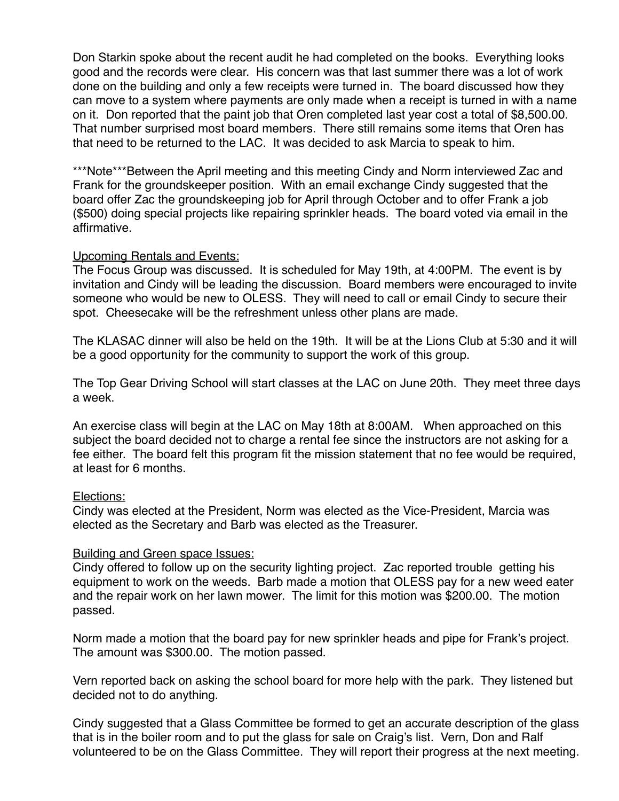Don Starkin spoke about the recent audit he had completed on the books. Everything looks good and the records were clear. His concern was that last summer there was a lot of work done on the building and only a few receipts were turned in. The board discussed how they can move to a system where payments are only made when a receipt is turned in with a name on it. Don reported that the paint job that Oren completed last year cost a total of \$8,500.00. That number surprised most board members. There still remains some items that Oren has that need to be returned to the LAC. It was decided to ask Marcia to speak to him.

\*\*\*Note\*\*\*Between the April meeting and this meeting Cindy and Norm interviewed Zac and Frank for the groundskeeper position. With an email exchange Cindy suggested that the board offer Zac the groundskeeping job for April through October and to offer Frank a job (\$500) doing special projects like repairing sprinkler heads. The board voted via email in the affirmative.

## Upcoming Rentals and Events:

The Focus Group was discussed. It is scheduled for May 19th, at 4:00PM. The event is by invitation and Cindy will be leading the discussion. Board members were encouraged to invite someone who would be new to OLESS. They will need to call or email Cindy to secure their spot. Cheesecake will be the refreshment unless other plans are made.

The KLASAC dinner will also be held on the 19th. It will be at the Lions Club at 5:30 and it will be a good opportunity for the community to support the work of this group.

The Top Gear Driving School will start classes at the LAC on June 20th. They meet three days a week.

An exercise class will begin at the LAC on May 18th at 8:00AM. When approached on this subject the board decided not to charge a rental fee since the instructors are not asking for a fee either. The board felt this program fit the mission statement that no fee would be required, at least for 6 months.

## Elections:

Cindy was elected at the President, Norm was elected as the Vice-President, Marcia was elected as the Secretary and Barb was elected as the Treasurer.

## Building and Green space Issues:

Cindy offered to follow up on the security lighting project. Zac reported trouble getting his equipment to work on the weeds. Barb made a motion that OLESS pay for a new weed eater and the repair work on her lawn mower. The limit for this motion was \$200.00. The motion passed.

Norm made a motion that the board pay for new sprinkler heads and pipe for Frank's project. The amount was \$300.00. The motion passed.

Vern reported back on asking the school board for more help with the park. They listened but decided not to do anything.

Cindy suggested that a Glass Committee be formed to get an accurate description of the glass that is in the boiler room and to put the glass for sale on Craig's list. Vern, Don and Ralf volunteered to be on the Glass Committee. They will report their progress at the next meeting.